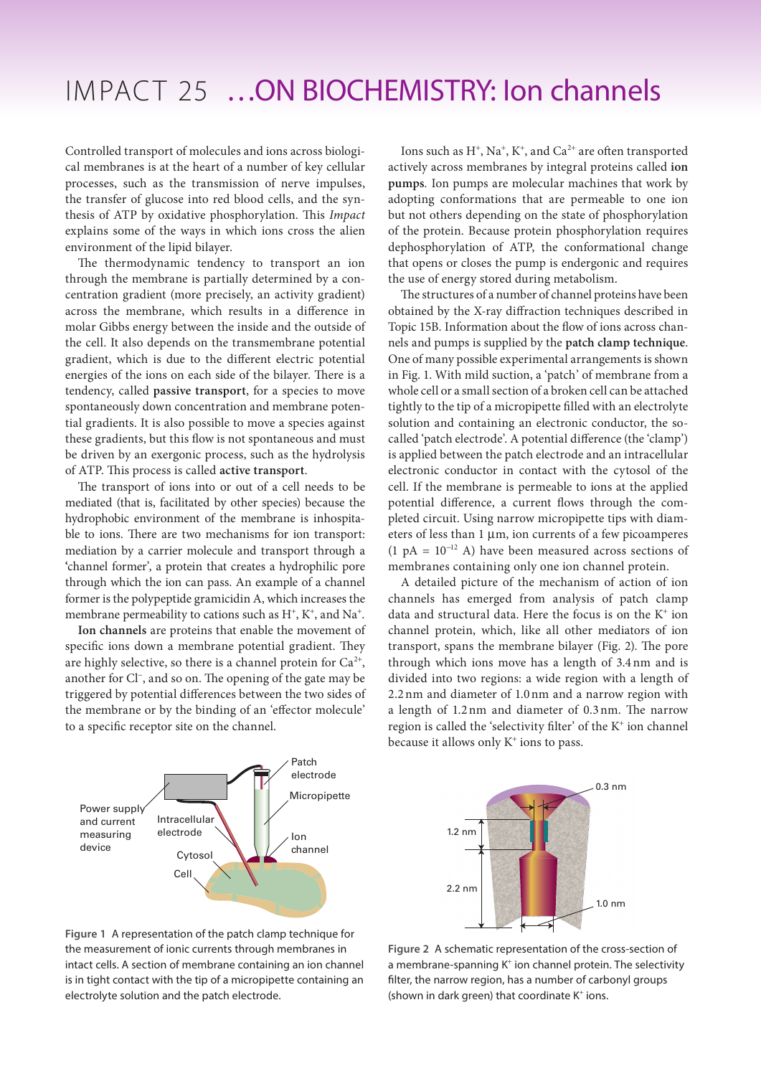## IMPACT 25 …ON BIOCHEMISTRY: Ion channels

Controlled transport of molecules and ions across biological membranes is at the heart of a number of key cellular processes, such as the transmission of nerve impulses, the transfer of glucose into red blood cells, and the synthesis of ATP by oxidative phosphorylation. This *Impact* explains some of the ways in which ions cross the alien environment of the lipid bilayer.

The thermodynamic tendency to transport an ion through the membrane is partially determined by a concentration gradient (more precisely, an activity gradient) across the membrane, which results in a difference in molar Gibbs energy between the inside and the outside of the cell. It also depends on the transmembrane potential gradient, which is due to the different electric potential energies of the ions on each side of the bilayer. There is a tendency, called **passive transport**, for a species to move spontaneously down concentration and membrane potential gradients. It is also possible to move a species against these gradients, but this flow is not spontaneous and must be driven by an exergonic process, such as the hydrolysis of ATP. This process is called **active transport**.

The transport of ions into or out of a cell needs to be mediated (that is, facilitated by other species) because the hydrophobic environment of the membrane is inhospitable to ions. There are two mechanisms for ion transport: mediation by a carrier molecule and transport through a **'**channel former', a protein that creates a hydrophilic pore through which the ion can pass. An example of a channel former is the polypeptide gramicidin A, which increases the membrane permeability to cations such as  $H^+$ ,  $K^+$ , and  $Na^+$ .

**Ion channels** are proteins that enable the movement of specific ions down a membrane potential gradient. They are highly selective, so there is a channel protein for  $Ca^{2+}$ , another for Cl<sup>−</sup> , and so on. The opening of the gate may be triggered by potential differences between the two sides of the membrane or by the binding of an 'effector molecule' to a specific receptor site on the channel.

Patch electrode **Micropipette** Ion channel Cell Intracellular electrode Cytosol Power supply and current measuring device

Ions such as  $H^+$ ,  $Na^+$ ,  $K^+$ , and  $Ca^{2+}$  are often transported actively across membranes by integral proteins called **ion pumps***.* Ion pumps are molecular machines that work by adopting conformations that are permeable to one ion but not others depending on the state of phosphorylation of the protein. Because protein phosphorylation requires dephosphorylation of ATP, the conformational change that opens or closes the pump is endergonic and requires the use of energy stored during metabolism.

The structures of a number of channel proteins have been obtained by the X-ray diffraction techniques described in Topic 15B. Information about the flow of ions across channels and pumps is supplied by the **patch clamp technique**. One of many possible experimental arrangements is shown in Fig. 1. With mild suction, a 'patch' of membrane from a whole cell or a small section of a broken cell can be attached tightly to the tip of a micropipette filled with an electrolyte solution and containing an electronic conductor, the socalled 'patch electrode'. A potential difference (the 'clamp') is applied between the patch electrode and an intracellular electronic conductor in contact with the cytosol of the cell. If the membrane is permeable to ions at the applied potential difference, a current flows through the completed circuit. Using narrow micropipette tips with diameters of less than 1 μm, ion currents of a few picoamperes (1 pA =  $10^{-12}$  A) have been measured across sections of membranes containing only one ion channel protein.

A detailed picture of the mechanism of action of ion channels has emerged from analysis of patch clamp data and structural data. Here the focus is on the  $K^+$  ion channel protein, which, like all other mediators of ion transport, spans the membrane bilayer (Fig. 2). The pore through which ions move has a length of 3.4nm and is divided into two regions: a wide region with a length of 2.2nm and diameter of 1.0nm and a narrow region with a length of 1.2nm and diameter of 0.3nm. The narrow region is called the 'selectivity filter' of the K<sup>+</sup> ion channel because it allows only  $K^+$  ions to pass.



**Figure 1** A representation of the patch clamp technique for the measurement of ionic currents through membranes in intact cells. A section of membrane containing an ion channel is in tight contact with the tip of a micropipette containing an electrolyte solution and the patch electrode.

**Figure 2** A schematic representation of the cross-section of a membrane-spanning K<sup>+</sup> ion channel protein. The selectivity filter, the narrow region, has a number of carbonyl groups (shown in dark green) that coordinate  $K^+$  ions.